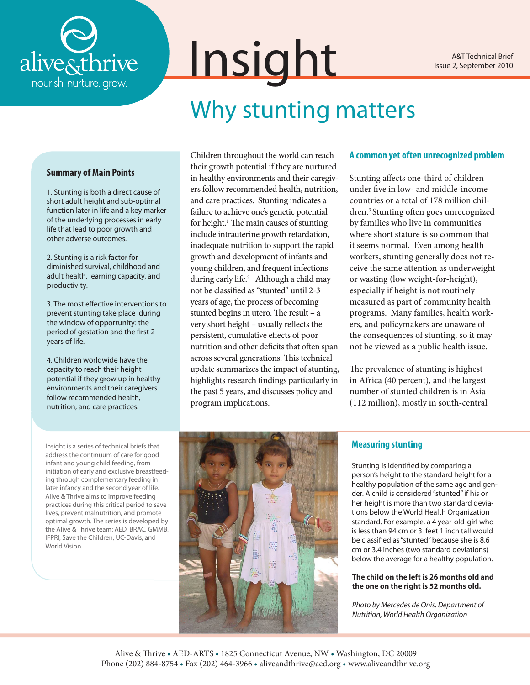

A&T Technical Brief Issue 2, September 2010

# Why stunting matters

### **Summary of Main Points**

1. Stunting is both a direct cause of short adult height and sub-optimal function later in life and a key marker of the underlying processes in early life that lead to poor growth and other adverse outcomes.

2. Stunting is a risk factor for diminished survival, childhood and adult health, learning capacity, and productivity.

3. The most effective interventions to prevent stunting take place during the window of opportunity: the period of gestation and the first 2 years of life.

4. Children worldwide have the capacity to reach their height potential if they grow up in healthy environments and their caregivers follow recommended health, nutrition, and care practices.

Children throughout the world can reach their growth potential if they are nurtured in healthy environments and their caregivers follow recommended health, nutrition, and care practices. Stunting indicates a failure to achieve one's genetic potential for height.<sup>1</sup> The main causes of stunting include intrauterine growth retardation, inadequate nutrition to support the rapid growth and development of infants and young children, and frequent infections during early life.<sup>2</sup> Although a child may not be classified as "stunted" until 2-3 years of age, the process of becoming stunted begins in utero. The result – a very short height – usually reflects the persistent, cumulative effects of poor nutrition and other deficits that often span across several generations. This technical update summarizes the impact of stunting, highlights research findings particularly in the past 5 years, and discusses policy and program implications.

Insight

### **A common yet often unrecognized problem**

Stunting affects one-third of children under five in low- and middle-income countries or a total of 178 million children.3 Stunting often goes unrecognized by families who live in communities where short stature is so common that it seems normal. Even among health workers, stunting generally does not receive the same attention as underweight or wasting (low weight-for-height), especially if height is not routinely measured as part of community health programs. Many families, health workers, and policymakers are unaware of the consequences of stunting, so it may not be viewed as a public health issue.

The prevalence of stunting is highest in Africa (40 percent), and the largest number of stunted children is in Asia (112 million), mostly in south-central

Insight is a series of technical briefs that address the continuum of care for good infant and young child feeding, from initiation of early and exclusive breastfeeding through complementary feeding in later infancy and the second year of life. Alive & Thrive aims to improve feeding practices during this critical period to save lives, prevent malnutrition, and promote optimal growth. The series is developed by the Alive & Thrive team: AED, BRAC, GMMB, IFPRI, Save the Children, UC-Davis, and World Vision.



## **Measuring stunting**

Stunting is identified by comparing a person's height to the standard height for a healthy population of the same age and gender. A child is considered "stunted" if his or her height is more than two standard deviations below the World Health Organization standard. For example, a 4 year-old-girl who is less than 94 cm or 3 feet 1 inch tall would be classified as "stunted" because she is 8.6 cm or 3.4 inches (two standard deviations) below the average for a healthy population.

### **The child on the left is 26 months old and the one on the right is 52 months old.**

*Photo by Mercedes de Onis, Department of Nutrition, World Health Organization*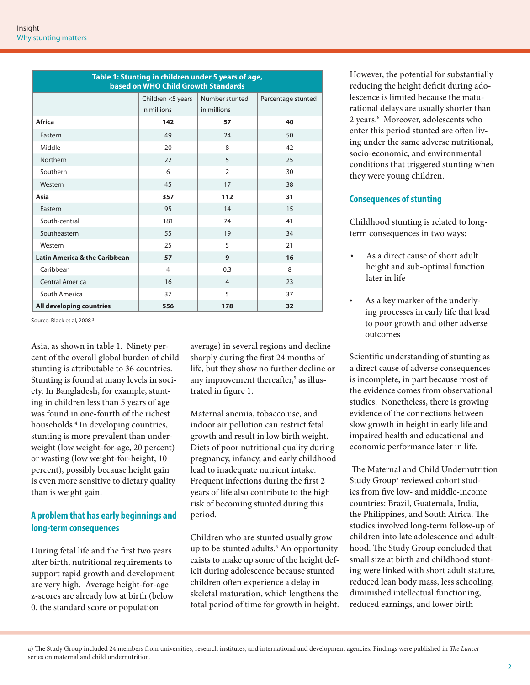| Table 1: Stunting in children under 5 years of age,<br>based on WHO Child Growth Standards |                   |                |                    |
|--------------------------------------------------------------------------------------------|-------------------|----------------|--------------------|
|                                                                                            | Children <5 years | Number stunted | Percentage stunted |
|                                                                                            | in millions       | in millions    |                    |
| <b>Africa</b>                                                                              | 142               | 57             | 40                 |
| Eastern                                                                                    | 49                | 24             | 50                 |
| Middle                                                                                     | 20                | 8              | 42                 |
| Northern                                                                                   | 22                | 5              | 25                 |
| Southern                                                                                   | 6                 | $\overline{2}$ | 30                 |
| Western                                                                                    | 45                | 17             | 38                 |
| Asia                                                                                       | 357               | 112            | 31                 |
| Eastern                                                                                    | 95                | 14             | 15                 |
| South-central                                                                              | 181               | 74             | 41                 |
| Southeastern                                                                               | 55                | 19             | 34                 |
| Western                                                                                    | 25                | 5              | 21                 |
| <b>Latin America &amp; the Caribbean</b>                                                   | 57                | 9              | 16                 |
| Caribbean                                                                                  | $\overline{4}$    | 0.3            | 8                  |
| <b>Central America</b>                                                                     | 16                | $\overline{4}$ | 23                 |
| South America                                                                              | 37                | 5              | 37                 |
| All developing countries                                                                   | 556               | 178            | 32                 |

Source: Black et al, 2008<sup>3</sup>

Asia, as shown in table 1. Ninety percent of the overall global burden of child stunting is attributable to 36 countries. Stunting is found at many levels in society. In Bangladesh, for example, stunting in children less than 5 years of age was found in one-fourth of the richest households.4 In developing countries, stunting is more prevalent than underweight (low weight-for-age, 20 percent) or wasting (low weight-for-height, 10 percent), possibly because height gain is even more sensitive to dietary quality than is weight gain.

# **A problem that has early beginnings and long-term consequences**

During fetal life and the first two years after birth, nutritional requirements to support rapid growth and development are very high. Average height-for-age z-scores are already low at birth (below 0, the standard score or population

average) in several regions and decline sharply during the first 24 months of life, but they show no further decline or any improvement thereafter,<sup>5</sup> as illustrated in figure 1.

Maternal anemia, tobacco use, and indoor air pollution can restrict fetal growth and result in low birth weight. Diets of poor nutritional quality during pregnancy, infancy, and early childhood lead to inadequate nutrient intake. Frequent infections during the first 2 years of life also contribute to the high risk of becoming stunted during this period.

Children who are stunted usually grow up to be stunted adults.<sup>6</sup> An opportunity exists to make up some of the height deficit during adolescence because stunted children often experience a delay in skeletal maturation, which lengthens the total period of time for growth in height.

However, the potential for substantially reducing the height deficit during adolescence is limited because the maturational delays are usually shorter than 2 years.<sup>6</sup> Moreover, adolescents who enter this period stunted are often living under the same adverse nutritional, socio-economic, and environmental conditions that triggered stunting when they were young children.

# **Consequences of stunting**

Childhood stunting is related to longterm consequences in two ways:

- As a direct cause of short adult height and sub-optimal function later in life
- • As a key marker of the underlying processes in early life that lead to poor growth and other adverse outcomes

Scientific understanding of stunting as a direct cause of adverse consequences is incomplete, in part because most of the evidence comes from observational studies. Nonetheless, there is growing evidence of the connections between slow growth in height in early life and impaired health and educational and economic performance later in life.

 The Maternal and Child Undernutrition Study Group<sup>a</sup> reviewed cohort studies from five low- and middle-income countries: Brazil, Guatemala, India, the Philippines, and South Africa. The studies involved long-term follow-up of children into late adolescence and adulthood. The Study Group concluded that small size at birth and childhood stunting were linked with short adult stature, reduced lean body mass, less schooling, diminished intellectual functioning, reduced earnings, and lower birth

a) The Study Group included 24 members from universities, research institutes, and international and development agencies. Findings were published in *The Lancet*  series on maternal and child undernutrition.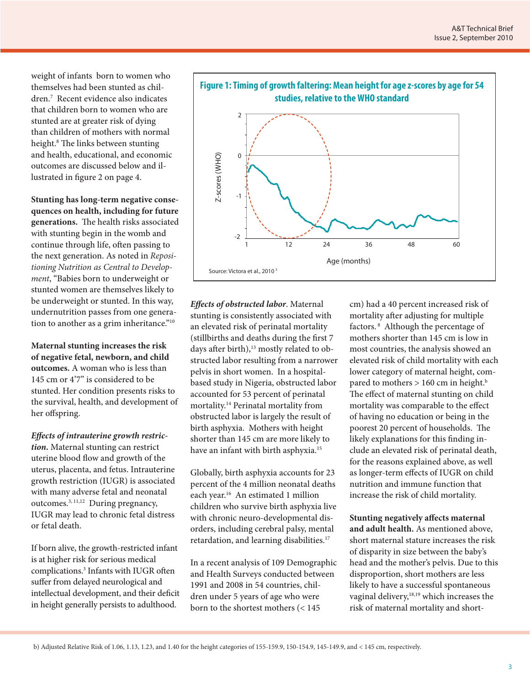weight of infants born to women who themselves had been stunted as children.7 Recent evidence also indicates that children born to women who are stunted are at greater risk of dying than children of mothers with normal height.8 The links between stunting and health, educational, and economic outcomes are discussed below and illustrated in figure 2 on page 4.

**Stunting has long-term negative consequences on health, including for future generations.** The health risks associated with stunting begin in the womb and continue through life, often passing to the next generation. As noted in *Repositioning Nutrition as Central to Development*, "Babies born to underweight or stunted women are themselves likely to be underweight or stunted. In this way, undernutrition passes from one generation to another as a grim inheritance."<sup>10</sup>

**Maternal stunting increases the risk of negative fetal, newborn, and child outcomes.** A woman who is less than 145 cm or 4'7" is considered to be stunted. Her condition presents risks to the survival, health, and development of her offspring.

*Effects of intrauterine growth restriction.* Maternal stunting can restrict uterine blood flow and growth of the uterus, placenta, and fetus. Intrauterine growth restriction (IUGR) is associated with many adverse fetal and neonatal outcomes.3, 11,12 During pregnancy, IUGR may lead to chronic fetal distress or fetal death.

If born alive, the growth-restricted infant is at higher risk for serious medical complications.3 Infants with IUGR often suffer from delayed neurological and intellectual development, and their deficit in height generally persists to adulthood.



*Effects of obstructed labor*. Maternal stunting is consistently associated with an elevated risk of perinatal mortality (stillbirths and deaths during the first 7 days after birth),<sup>13</sup> mostly related to obstructed labor resulting from a narrower pelvis in short women. In a hospitalbased study in Nigeria, obstructed labor accounted for 53 percent of perinatal mortality.14 Perinatal mortality from obstructed labor is largely the result of birth asphyxia. Mothers with height shorter than 145 cm are more likely to have an infant with birth asphyxia.<sup>15</sup>

Globally, birth asphyxia accounts for 23 percent of the 4 million neonatal deaths each year.<sup>16</sup> An estimated 1 million children who survive birth asphyxia live with chronic neuro-developmental disorders, including cerebral palsy, mental retardation, and learning disabilities.<sup>17</sup>

In a recent analysis of 109 Demographic and Health Surveys conducted between 1991 and 2008 in 54 countries, children under 5 years of age who were born to the shortest mothers (< 145

cm) had a 40 percent increased risk of mortality after adjusting for multiple factors. 8 Although the percentage of mothers shorter than 145 cm is low in most countries, the analysis showed an elevated risk of child mortality with each lower category of maternal height, compared to mothers  $> 160$  cm in height.<sup>b</sup> The effect of maternal stunting on child mortality was comparable to the effect of having no education or being in the poorest 20 percent of households. The likely explanations for this finding include an elevated risk of perinatal death, for the reasons explained above, as well as longer-term effects of IUGR on child nutrition and immune function that increase the risk of child mortality.

**Stunting negatively affects maternal and adult health.** As mentioned above, short maternal stature increases the risk of disparity in size between the baby's head and the mother's pelvis. Due to this disproportion, short mothers are less likely to have a successful spontaneous vaginal delivery,<sup>18,19</sup> which increases the risk of maternal mortality and short-

b) Adjusted Relative Risk of 1.06, 1.13, 1.23, and 1.40 for the height categories of 155-159.9, 150-154.9, 145-149.9, and < 145 cm, respectively.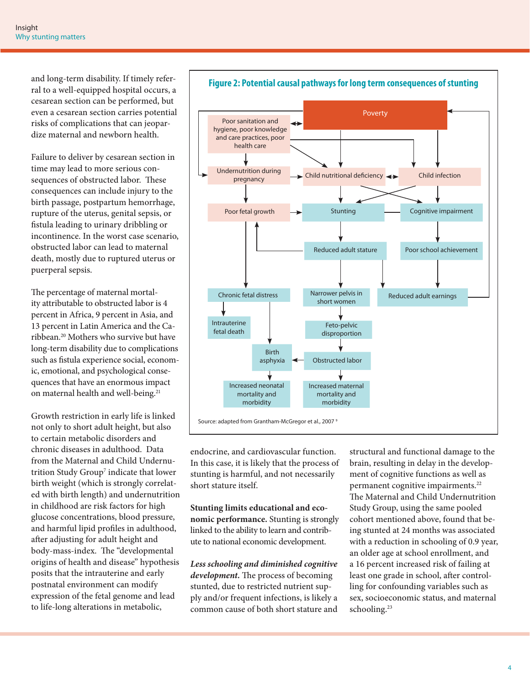and long-term disability. If timely referral to a well-equipped hospital occurs, a cesarean section can be performed, but even a cesarean section carries potential risks of complications that can jeopardize maternal and newborn health.

Failure to deliver by cesarean section in time may lead to more serious consequences of obstructed labor. These consequences can include injury to the birth passage, postpartum hemorrhage, rupture of the uterus, genital sepsis, or fistula leading to urinary dribbling or incontinence. In the worst case scenario, obstructed labor can lead to maternal death, mostly due to ruptured uterus or puerperal sepsis.

The percentage of maternal mortality attributable to obstructed labor is 4 percent in Africa, 9 percent in Asia, and 13 percent in Latin America and the Caribbean.20 Mothers who survive but have long-term disability due to complications such as fistula experience social, economic, emotional, and psychological consequences that have an enormous impact on maternal health and well-being.<sup>21</sup>

Growth restriction in early life is linked not only to short adult height, but also to certain metabolic disorders and chronic diseases in adulthood. Data from the Maternal and Child Undernutrition Study Group<sup>7</sup> indicate that lower birth weight (which is strongly correlated with birth length) and undernutrition in childhood are risk factors for high glucose concentrations, blood pressure, and harmful lipid profiles in adulthood, after adjusting for adult height and body-mass-index. The "developmental origins of health and disease" hypothesis posits that the intrauterine and early postnatal environment can modify expression of the fetal genome and lead to life-long alterations in metabolic,



endocrine, and cardiovascular function. In this case, it is likely that the process of stunting is harmful, and not necessarily short stature itself.

**Stunting limits educational and economic performance.** Stunting is strongly linked to the ability to learn and contribute to national economic development.

*Less schooling and diminished cognitive development.* The process of becoming stunted, due to restricted nutrient supply and/or frequent infections, is likely a common cause of both short stature and

structural and functional damage to the brain, resulting in delay in the development of cognitive functions as well as permanent cognitive impairments.<sup>22</sup> The Maternal and Child Undernutrition Study Group, using the same pooled cohort mentioned above, found that being stunted at 24 months was associated with a reduction in schooling of 0.9 year, an older age at school enrollment, and a 16 percent increased risk of failing at least one grade in school, after controlling for confounding variables such as sex, socioeconomic status, and maternal schooling.<sup>23</sup>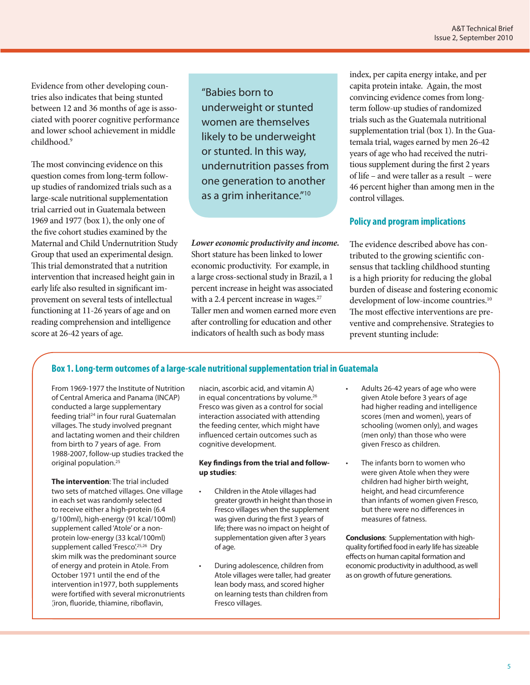Evidence from other developing countries also indicates that being stunted between 12 and 36 months of age is associated with poorer cognitive performance and lower school achievement in middle childhood.9

The most convincing evidence on this question comes from long-term followup studies of randomized trials such as a large-scale nutritional supplementation trial carried out in Guatemala between 1969 and 1977 (box 1), the only one of the five cohort studies examined by the Maternal and Child Undernutrition Study Group that used an experimental design. This trial demonstrated that a nutrition intervention that increased height gain in early life also resulted in significant improvement on several tests of intellectual functioning at 11-26 years of age and on reading comprehension and intelligence score at 26-42 years of age.

"Babies born to underweight or stunted women are themselves likely to be underweight or stunted. In this way, undernutrition passes from one generation to another as a grim inheritance."10

*Lower economic productivity and income.* Short stature has been linked to lower economic productivity. For example, in a large cross-sectional study in Brazil, a 1 percent increase in height was associated with a 2.4 percent increase in wages.<sup>27</sup> Taller men and women earned more even after controlling for education and other indicators of health such as body mass

index, per capita energy intake, and per capita protein intake. Again, the most convincing evidence comes from longterm follow-up studies of randomized trials such as the Guatemala nutritional supplementation trial (box 1). In the Guatemala trial, wages earned by men 26-42 years of age who had received the nutritious supplement during the first 2 years of life – and were taller as a result – were 46 percent higher than among men in the control villages.

# **Policy and program implications**

The evidence described above has contributed to the growing scientific consensus that tackling childhood stunting is a high priority for reducing the global burden of disease and fostering economic development of low-income countries.<sup>10</sup> The most effective interventions are preventive and comprehensive. Strategies to prevent stunting include:

# **Box 1. Long-term outcomes of a large-scale nutritional supplementation trial in Guatemala**

From 1969-1977 the Institute of Nutrition of Central America and Panama (INCAP) conducted a large supplementary feeding trial<sup>24</sup> in four rural Guatemalan villages. The study involved pregnant and lactating women and their children from birth to 7 years of age. From 1988-2007, follow-up studies tracked the original population.<sup>25</sup>

**The intervention**: The trial included two sets of matched villages. One village in each set was randomly selected to receive either a high-protein (6.4 g/100ml), high-energy (91 kcal/100ml) supplement called 'Atole' or a nonprotein low-energy (33 kcal/100ml) supplement called 'Fresco'.<sup>25,26</sup> Dry skim milk was the predominant source of energy and protein in Atole. From October 1971 until the end of the intervention in1977, both supplements were fortified with several micronutrients (iron, fluoride, thiamine, riboflavin,

niacin, ascorbic acid, and vitamin A) in equal concentrations by volume.<sup>26</sup> Fresco was given as a control for social interaction associated with attending the feeding center, which might have influenced certain outcomes such as cognitive development.

### **Key findings from the trial and followup studies**:

- Children in the Atole villages had greater growth in height than those in Fresco villages when the supplement was given during the first 3 years of life; there was no impact on height of supplementation given after 3 years of age.
- During adolescence, children from Atole villages were taller, had greater lean body mass, and scored higher on learning tests than children from Fresco villages.
- Adults 26-42 years of age who were given Atole before 3 years of age had higher reading and intelligence scores (men and women), years of schooling (women only), and wages (men only) than those who were given Fresco as children.
- The infants born to women who were given Atole when they were children had higher birth weight, height, and head circumference than infants of women given Fresco, but there were no differences in measures of fatness.

**Conclusions**: Supplementation with highquality fortified food in early life has sizeable effects on human capital formation and economic productivity in adulthood, as well as on growth of future generations.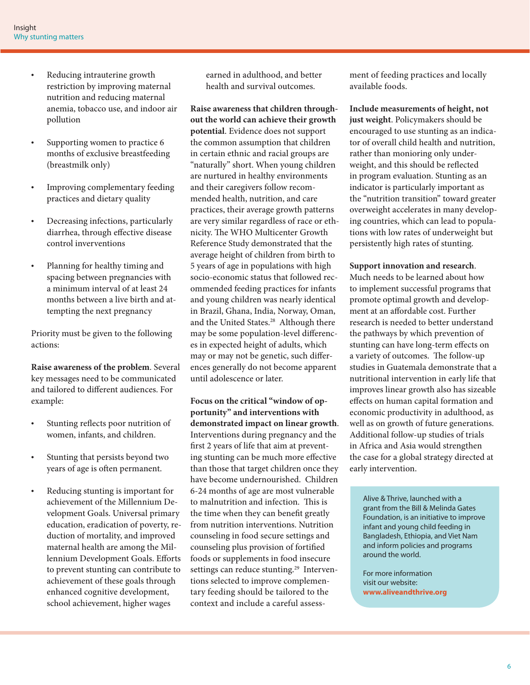- Reducing intrauterine growth restriction by improving maternal nutrition and reducing maternal anemia, tobacco use, and indoor air pollution
- Supporting women to practice 6 months of exclusive breastfeeding (breastmilk only)
- Improving complementary feeding practices and dietary quality
- Decreasing infections, particularly diarrhea, through effective disease control inverventions
- Planning for healthy timing and spacing between pregnancies with a minimum interval of at least 24 months between a live birth and attempting the next pregnancy

Priority must be given to the following actions:

**Raise awareness of the problem**. Several key messages need to be communicated and tailored to different audiences. For example:

- Stunting reflects poor nutrition of women, infants, and children.
- Stunting that persists beyond two years of age is often permanent.
- Reducing stunting is important for achievement of the Millennium Development Goals. Universal primary education, eradication of poverty, reduction of mortality, and improved maternal health are among the Millennium Development Goals. Efforts to prevent stunting can contribute to achievement of these goals through enhanced cognitive development, school achievement, higher wages

earned in adulthood, and better health and survival outcomes.

**Raise awareness that children throughout the world can achieve their growth potential**. Evidence does not support the common assumption that children in certain ethnic and racial groups are "naturally" short. When young children are nurtured in healthy environments and their caregivers follow recommended health, nutrition, and care practices, their average growth patterns are very similar regardless of race or ethnicity. The WHO Multicenter Growth Reference Study demonstrated that the average height of children from birth to 5 years of age in populations with high socio-economic status that followed recommended feeding practices for infants and young children was nearly identical in Brazil, Ghana, India, Norway, Oman, and the United States.<sup>28</sup> Although there may be some population-level differences in expected height of adults, which may or may not be genetic, such differences generally do not become apparent until adolescence or later.

**Focus on the critical "window of opportunity" and interventions with demonstrated impact on linear growth**. Interventions during pregnancy and the first 2 years of life that aim at preventing stunting can be much more effective than those that target children once they have become undernourished. Children 6-24 months of age are most vulnerable to malnutrition and infection. This is the time when they can benefit greatly from nutrition interventions. Nutrition counseling in food secure settings and counseling plus provision of fortified foods or supplements in food insecure settings can reduce stunting.<sup>29</sup> Interventions selected to improve complementary feeding should be tailored to the context and include a careful assessment of feeding practices and locally available foods.

**Include measurements of height, not just weight**. Policymakers should be encouraged to use stunting as an indicator of overall child health and nutrition, rather than monioring only underweight, and this should be reflected in program evaluation. Stunting as an indicator is particularly important as the "nutrition transition" toward greater overweight accelerates in many developing countries, which can lead to populations with low rates of underweight but persistently high rates of stunting.

## **Support innovation and research**.

Much needs to be learned about how to implement successful programs that promote optimal growth and development at an affordable cost. Further research is needed to better understand the pathways by which prevention of stunting can have long-term effects on a variety of outcomes. The follow-up studies in Guatemala demonstrate that a nutritional intervention in early life that improves linear growth also has sizeable effects on human capital formation and economic productivity in adulthood, as well as on growth of future generations. Additional follow-up studies of trials in Africa and Asia would strengthen the case for a global strategy directed at early intervention.

Alive & Thrive, launched with a grant from the Bill & Melinda Gates Foundation, is an initiative to improve infant and young child feeding in Bangladesh, Ethiopia, and Viet Nam and inform policies and programs around the world.

For more information visit our website: **www.aliveandthrive.org**